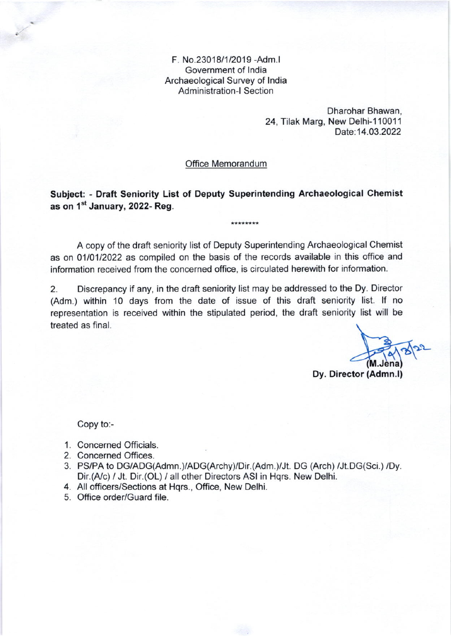F. No.23018/1/2019 -Adm.l Government of lndia Archaeological Survey of lndia Administration-l Section

> Dharohar Bhawan, 24, Tilak Marg, New Delhi-110011 Date: 14.03.2022

Office Memorandum

Subject: - Draft Seniority List of Deputy Superintending Archaeological Chemist as on 1<sup>st</sup> January, 2022- Reg.

\*\*\*\*\*\*\*\*

A copy of the draft seniority list of Deputy Superintending Archaeological Chemist as on 0110112022 as compiled on the basis of the records available in this office and information received from the concerned office, is circulated herewith for information.

2. Discrepancy if any, in the draft seniority list may be addressed to the Dy. Director (Adm.) within 10 days from the date of issue of this draft seniority list. lf no representation is received within the stipulated period, the draft seniority list will be treated as final.

Dy. Director (Admn.l)

Copy to:-

- 1. Concerned Officials.
- 2. Concerned Offices.
- 3. PS/PA to DG/ADG(Admn.)/ADG(Archy)/Dir.(Adm.)/Jt. DG (Arch) /Jt.DG(Sci.) /Dy. Dir.(A/c) / Jt. Dir.(OL) / all other Directors ASI in Hqrs. New Delhi.
- 4. All officers/Sections at Hqrs., Office, New Delhi.
- Office order/Guard file.